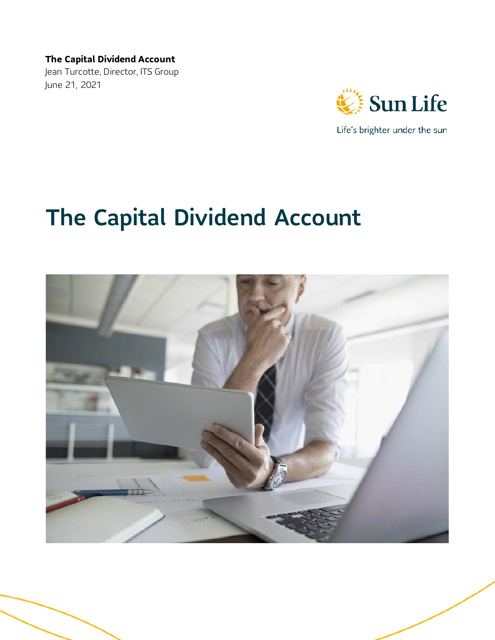Jean Turcotte, Director, ITS Group June 21, 2021



Life's brighter under the sun

# The Capital Dividend Account

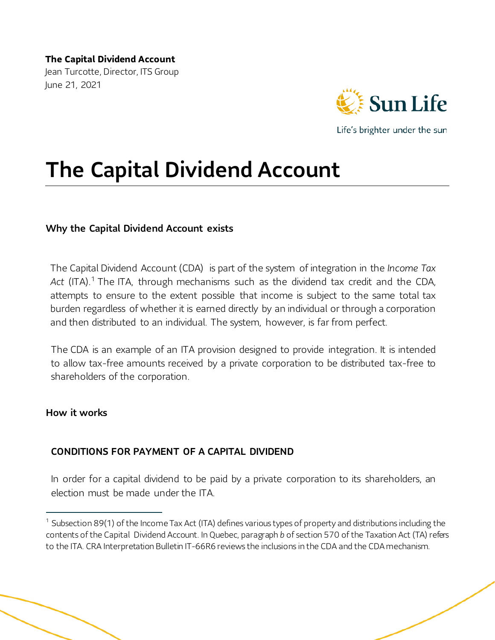**The Capital Dividend Account** Jean Turcotte, Director, ITS Group June 21, 2021



Life's brighter under the sun

# The Capital Dividend Account

#### Why the Capital Dividend Account exists

The Capital Dividend Account (CDA) is part of the system of integration in the *Income Tax*  Act (ITA).<sup>[1](#page-1-0)</sup> The ITA, through mechanisms such as the dividend tax credit and the CDA, attempts to ensure to the extent possible that income is subject to the same total tax burden regardless of whether it is earned directly by an individual or through a corporation and then distributed to an individual. The system, however, is far from perfect.

The CDA is an example of an ITA provision designed to provide integration. It is intended to allow tax-free amounts received by a private corporation to be distributed tax-free to shareholders of the corporation.

#### How it works

#### CONDITIONS FOR PAYMENT OF A CAPITAL DIVIDEND

In order for a capital dividend to be paid by a private corporation to its shareholders, an election must be made under the ITA.

<span id="page-1-0"></span> $1$  Subsection 89(1) of the Income Tax Act (ITA) defines various types of property and distributions including the contents of the Capital Dividend Account. In Quebec, paragraph *b* of section 570 of the Taxation Act (TA) refers to the ITA. CRA Interpretation Bulletin IT-66R6 reviews the inclusions in the CDA and the CDA mechanism.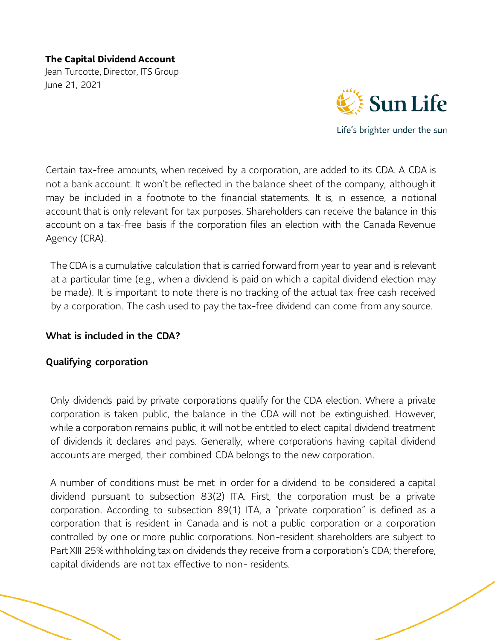Jean Turcotte, Director, ITS Group June 21, 2021



Life's brighter under the sun

Certain tax-free amounts, when received by a corporation, are added to its CDA. A CDA is not a bank account. It won't be reflected in the balance sheet of the company, although it may be included in a footnote to the financial statements. It is, in essence, a notional account that is only relevant for tax purposes. Shareholders can receive the balance in this account on a tax-free basis if the corporation files an election with the Canada Revenue Agency (CRA).

The CDA is a cumulative calculation that is carried forward from year to year and is relevant at a particular time (e.g., when a dividend is paid on which a capital dividend election may be made). It is important to note there is no tracking of the actual tax-free cash received by a corporation. The cash used to pay the tax-free dividend can come from any source.

#### What is included in the CDA?

#### Qualifying corporation

Only dividends paid by private corporations qualify for the CDA election. Where a private corporation is taken public, the balance in the CDA will not be extinguished. However, while a corporation remains public, it will not be entitled to elect capital dividend treatment of dividends it declares and pays. Generally, where corporations having capital dividend accounts are merged, their combined CDA belongs to the new corporation.

A number of conditions must be met in order for a dividend to be considered a capital dividend pursuant to subsection 83(2) ITA. First, the corporation must be a private corporation. According to subsection 89(1) ITA, a "private corporation" is defined as a corporation that is resident in Canada and is not a public corporation or a corporation controlled by one or more public corporations. Non-resident shareholders are subject to Part XIII 25% withholding tax on dividends they receive from a corporation's CDA; therefore, capital dividends are not tax effective to non- residents.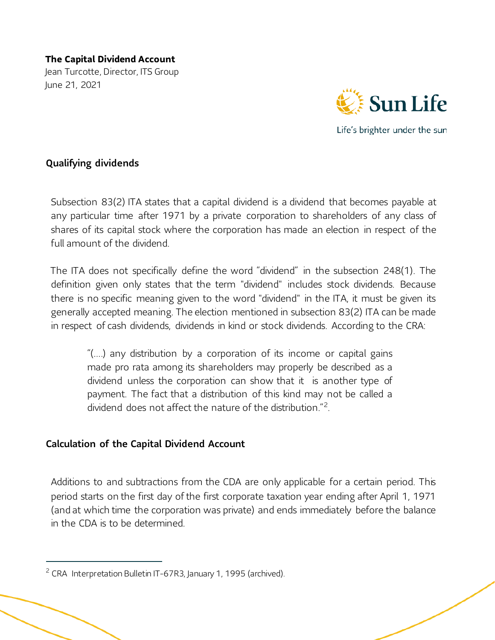Jean Turcotte, Director, ITS Group June 21, 2021



Life's brighter under the sun

#### Qualifying dividends

Subsection 83(2) ITA states that a capital dividend is a dividend that becomes payable at any particular time after 1971 by a private corporation to shareholders of any class of shares of its capital stock where the corporation has made an election in respect of the full amount of the dividend.

The ITA does not specifically define the word "dividend" in the subsection 248(1). The definition given only states that the term "dividend" includes stock dividends. Because there is no specific meaning given to the word "dividend" in the ITA, it must be given its generally accepted meaning. The election mentioned in subsection 83(2) ITA can be made in respect of cash dividends, dividends in kind or stock dividends. According to the CRA:

"(….) any distribution by a corporation of its income or capital gains made pro rata among its shareholders may properly be described as a dividend unless the corporation can show that it is another type of payment. The fact that a distribution of this kind may not be called a dividend does not affect the nature of the distribution "<sup>2</sup>

# Calculation of the Capital Dividend Account

Additions to and subtractions from the CDA are only applicable for a certain period. This period starts on the first day of the first corporate taxation year ending after April 1, 1971 (and at which time the corporation was private) and ends immediately before the balance in the CDA is to be determined.

1

<span id="page-3-0"></span> $2$  CRA Interpretation Bulletin IT-67R3, January 1, 1995 (archived).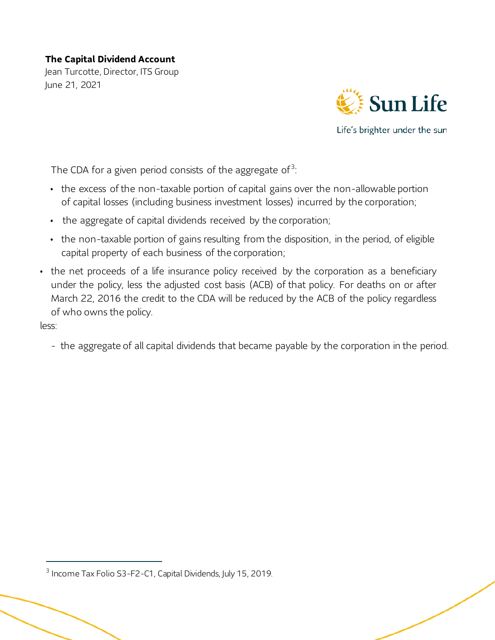Jean Turcotte, Director, ITS Group June 21, 2021



Life's brighter under the sun

The CDA for a given period consists of the aggregate of  $3$ :

- the excess of the non-taxable portion of capital gains over the non-allowable portion of capital losses (including business investment losses) incurred by the corporation;
- the aggregate of capital dividends received by the corporation;
- the non-taxable portion of gains resulting from the disposition, in the period, of eligible capital property of each business of the corporation;
- the net proceeds of a life insurance policy received by the corporation as a beneficiary under the policy, less the adjusted cost basis (ACB) of that policy. For deaths on or after March 22, 2016 the credit to the CDA will be reduced by the ACB of the policy regardless of who owns the policy.

less:

1

- the aggregate of all capital dividends that became payable by the corporation in the period.

<span id="page-4-0"></span><sup>&</sup>lt;sup>3</sup> Income Tax Folio S3-F2-C1, Capital Dividends, July 15, 2019.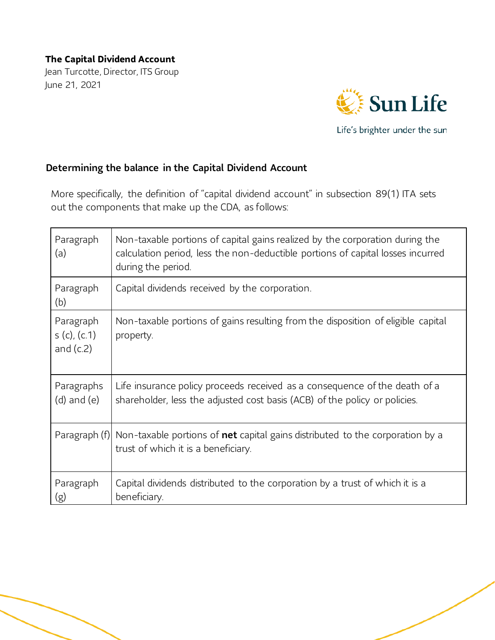Jean Turcotte, Director, ITS Group June 21, 2021



Life's brighter under the sun

#### Determining the balance in the Capital Dividend Account

More specifically, the definition of "capital dividend account" in subsection 89(1) ITA sets out the components that make up the CDA, as follows:

| Paragraph<br>(a)                        | Non-taxable portions of capital gains realized by the corporation during the<br>calculation period, less the non-deductible portions of capital losses incurred<br>during the period. |
|-----------------------------------------|---------------------------------------------------------------------------------------------------------------------------------------------------------------------------------------|
| Paragraph<br>(b)                        | Capital dividends received by the corporation.                                                                                                                                        |
| Paragraph<br>s(c), (c.1)<br>and $(c.2)$ | Non-taxable portions of gains resulting from the disposition of eligible capital<br>property.                                                                                         |
| Paragraphs<br>$(d)$ and $(e)$           | Life insurance policy proceeds received as a consequence of the death of a<br>shareholder, less the adjusted cost basis (ACB) of the policy or policies.                              |
|                                         | Paragraph $(f)$ Non-taxable portions of <b>net</b> capital gains distributed to the corporation by a<br>trust of which it is a beneficiary.                                           |
| Paragraph<br>(g)                        | Capital dividends distributed to the corporation by a trust of which it is a<br>beneficiary.                                                                                          |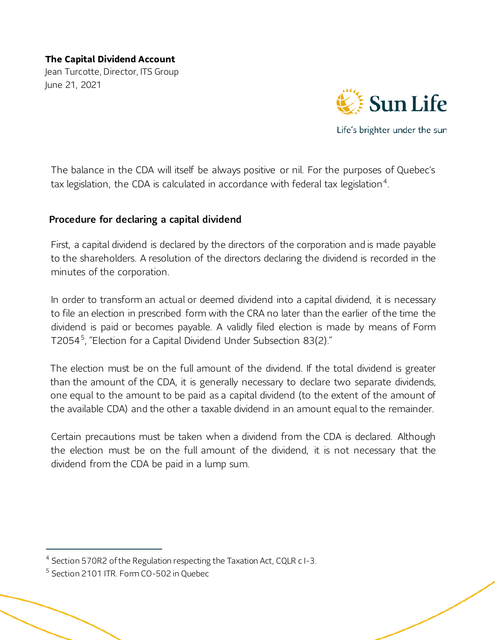Jean Turcotte, Director, ITS Group June 21, 2021



Life's brighter under the sun

The balance in the CDA will itself be always positive or nil. For the purposes of Quebec's tax legislation, the CDA is calculated in accordance with federal tax legislation<sup>[4](#page-6-0)</sup>.

#### Procedure for declaring a capital dividend

First, a capital dividend is declared by the directors of the corporation and is made payable to the shareholders. A resolution of the directors declaring the dividend is recorded in the minutes of the corporation.

In order to transform an actual or deemed dividend into a capital dividend, it is necessary to file an election in prescribed form with the CRA no later than the earlier of the time the dividend is paid or becomes payable. A validly filed election is made by means of Form T2054[5](#page-6-1) , "Election for a Capital Dividend Under Subsection 83(2)."

The election must be on the full amount of the dividend. If the total dividend is greater than the amount of the CDA, it is generally necessary to declare two separate dividends, one equal to the amount to be paid as a capital dividend (to the extent of the amount of the available CDA) and the other a taxable dividend in an amount equal to the remainder.

Certain precautions must be taken when a dividend from the CDA is declared. Although the election must be on the full amount of the dividend, it is not necessary that the dividend from the CDA be paid in a lump sum.

<span id="page-6-0"></span> <sup>4</sup> Section 570R2 of the Regulation respecting the Taxation Act, CQLR c I-3.

<span id="page-6-1"></span><sup>5</sup> Section 2101 ITR. Form CO-502 in Quebec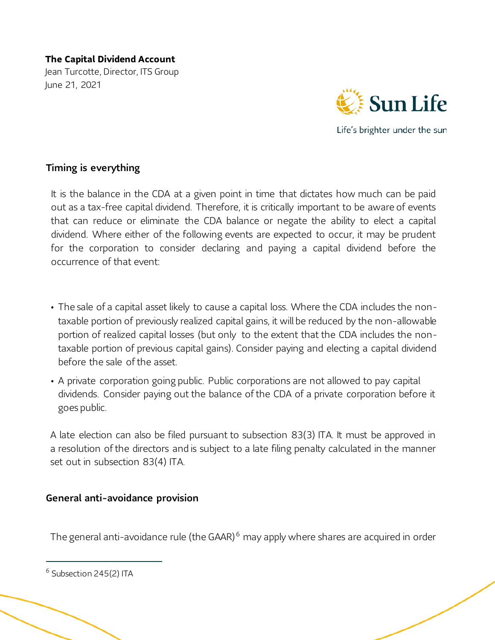Jean Turcotte, Director, ITS Group June 21, 2021



Life's brighter under the sun

#### Timing is everything

It is the balance in the CDA at a given point in time that dictates how much can be paid out as a tax-free capital dividend. Therefore, it is critically important to be aware of events that can reduce or eliminate the CDA balance or negate the ability to elect a capital dividend. Where either of the following events are expected to occur, it may be prudent for the corporation to consider declaring and paying a capital dividend before the occurrence of that event:

- The sale of a capital asset likely to cause a capital loss. Where the CDA includes the nontaxable portion of previously realized capital gains, it will be reduced by the non-allowable portion of realized capital losses (but only to the extent that the CDA includes the nontaxable portion of previous capital gains). Consider paying and electing a capital dividend before the sale of the asset.
- A private corporation going public. Public corporations are not allowed to pay capital dividends. Consider paying out the balance of the CDA of a private corporation before it goes public.

A late election can also be filed pursuant to subsection 83(3) ITA. It must be approved in a resolution of the directors and is subject to a late filing penalty calculated in the manner set out in subsection 83(4) ITA.

#### General anti-avoidance provision

The general anti-avoidance rule (the GAAR)<sup>[6](#page-7-0)</sup> may apply where shares are acquired in order

1

<span id="page-7-0"></span> $6$  Subsection 245(2) ITA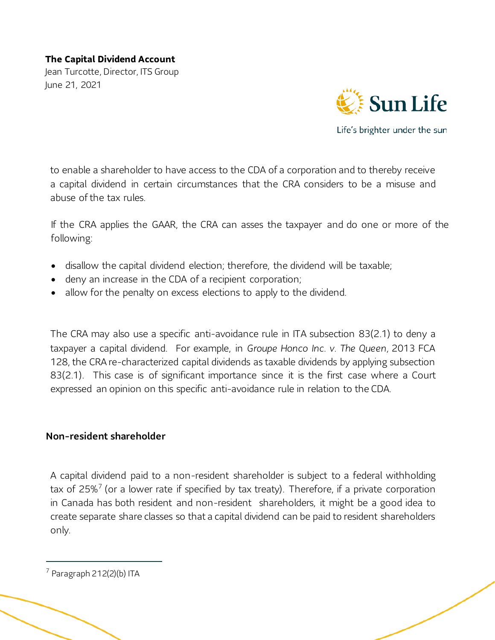Jean Turcotte, Director, ITS Group June 21, 2021



Life's brighter under the sun

to enable a shareholder to have access to the CDA of a corporation and to thereby receive a capital dividend in certain circumstances that the CRA considers to be a misuse and abuse of the tax rules.

If the CRA applies the GAAR, the CRA can asses the taxpayer and do one or more of the following:

- disallow the capital dividend election; therefore, the dividend will be taxable;
- deny an increase in the CDA of a recipient corporation;
- allow for the penalty on excess elections to apply to the dividend.

The CRA may also use a specific anti-avoidance rule in ITA subsection 83(2.1) to deny a taxpayer a capital dividend. For example, in *Groupe Honco Inc. v. The Queen,* 2013 FCA 128, the CRA re-characterized capital dividends as taxable dividends by applying subsection 83(2.1). This case is of significant importance since it is the first case where a Court expressed an opinion on this specific anti-avoidance rule in relation to the CDA.

#### Non-resident shareholder

A capital dividend paid to a non-resident shareholder is subject to a federal withholding tax of  $25\%$ <sup>[7](#page-8-0)</sup> (or a lower rate if specified by tax treaty). Therefore, if a private corporation in Canada has both resident and non-resident shareholders, it might be a good idea to create separate share classes so that a capital dividend can be paid to resident shareholders only.

1

<span id="page-8-0"></span> $7$  Paragraph 212(2)(b) ITA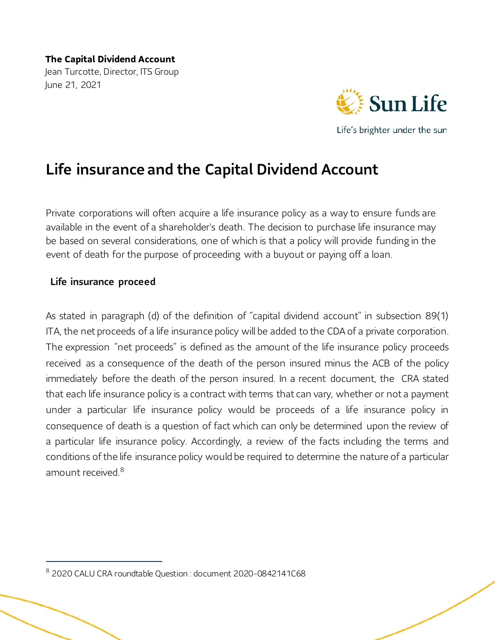

Life's brighter under the sun

# Life insurance and the Capital Dividend Account

Private corporations will often acquire a life insurance policy as a way to ensure funds are available in the event of a shareholder's death. The decision to purchase life insurance may be based on several considerations, one of which is that a policy will provide funding in the event of death for the purpose of proceeding with a buyout or paying off a loan.

#### Life insurance proceed

1

As stated in paragraph (d) of the definition of "capital dividend account" in subsection 89(1) ITA, the net proceeds of a life insurance policy will be added to the CDA of a private corporation. The expression "net proceeds" is defined as the amount of the life insurance policy proceeds received as a consequence of the death of the person insured minus the ACB of the policy immediately before the death of the person insured. In a recent document, the CRA stated that each life insurance policy is a contract with terms that can vary, whether or not a payment under a particular life insurance policy would be proceeds of a life insurance policy in consequence of death is a question of fact which can only be determined upon the review of a particular life insurance policy. Accordingly, a review of the facts including the terms and conditions of the life insurance policy would be required to determine the nature of a particular amount received.<sup>[8](#page-9-0)</sup>

<span id="page-9-0"></span><sup>8</sup> 2020 CALU CRA roundtable Question : document 2020-0842141C68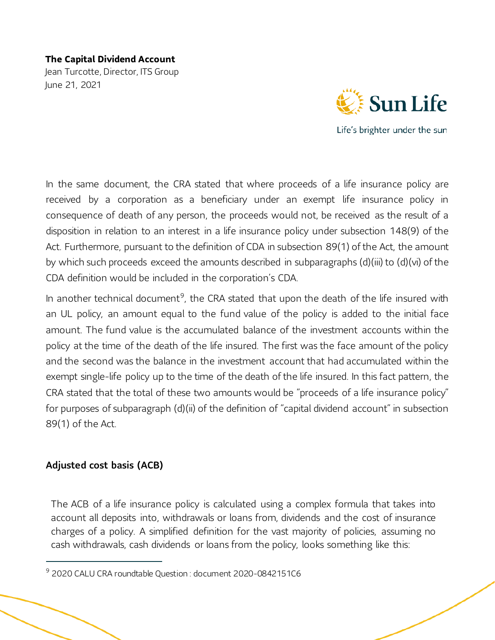Jean Turcotte, Director, ITS Group June 21, 2021



Life's brighter under the sun

In the same document, the CRA stated that where proceeds of a life insurance policy are received by a corporation as a beneficiary under an exempt life insurance policy in consequence of death of any person, the proceeds would not, be received as the result of a disposition in relation to an interest in a life insurance policy under subsection 148(9) of the Act. Furthermore, pursuant to the definition of CDA in subsection 89(1) of the Act, the amount by which such proceeds exceed the amounts described in subparagraphs (d)(iii) to (d)(vi) of the CDA definition would be included in the corporation's CDA.

In another technical document<sup>[9](#page-10-0)</sup>, the CRA stated that upon the death of the life insured with an UL policy, an amount equal to the fund value of the policy is added to the initial face amount. The fund value is the accumulated balance of the investment accounts within the policy at the time of the death of the life insured. The first was the face amount of the policy and the second was the balance in the investment account that had accumulated within the exempt single-life policy up to the time of the death of the life insured. In this fact pattern, the CRA stated that the total of these two amounts would be "proceeds of a life insurance policy" for purposes of subparagraph (d)(ii) of the definition of "capital dividend account" in subsection 89(1) of the Act.

# Adjusted cost basis (ACB)

1

The ACB of a life insurance policy is calculated using a complex formula that takes into account all deposits into, withdrawals or loans from, dividends and the cost of insurance charges of a policy. A simplified definition for the vast majority of policies, assuming no cash withdrawals, cash dividends or loans from the policy, looks something like this:

<span id="page-10-0"></span><sup>&</sup>lt;sup>9</sup> 2020 CALU CRA roundtable Question : document 2020-0842151C6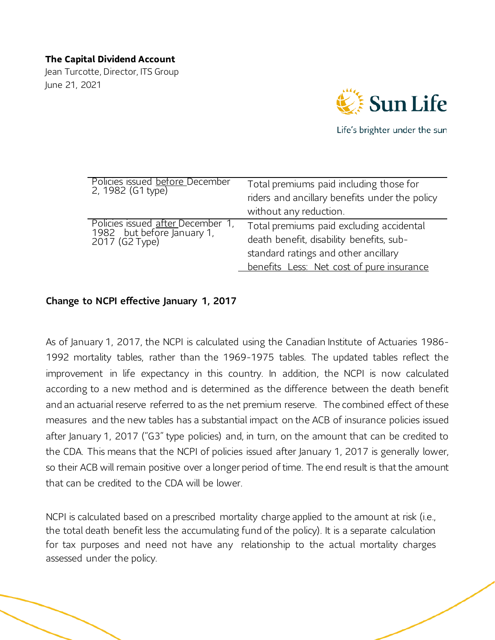Jean Turcotte, Director, ITS Group June 21, 2021



Life's brighter under the sun

| Policies issued before December<br>2, 1982 (G1 type)                                      | Total premiums paid including those for<br>riders and ancillary benefits under the policy<br>without any reduction.                                                       |
|-------------------------------------------------------------------------------------------|---------------------------------------------------------------------------------------------------------------------------------------------------------------------------|
| Policies issued <u>after </u> December 1,<br>1982 but before January 1,<br>2017 (G2 Type) | Total premiums paid excluding accidental<br>death benefit, disability benefits, sub-<br>standard ratings and other ancillary<br>benefits Less: Net cost of pure insurance |

#### Change to NCPI effective January 1, 2017

As of January 1, 2017, the NCPI is calculated using the Canadian Institute of Actuaries 1986- 1992 mortality tables, rather than the 1969-1975 tables. The updated tables reflect the improvement in life expectancy in this country. In addition, the NCPI is now calculated according to a new method and is determined as the difference between the death benefit and an actuarial reserve referred to as the net premium reserve. The combined effect of these measures and the new tables has a substantial impact on the ACB of insurance policies issued after January 1, 2017 ("G3" type policies) and, in turn, on the amount that can be credited to the CDA. This means that the NCPI of policies issued after January 1, 2017 is generally lower, so their ACB will remain positive over a longer period of time. The end result is that the amount that can be credited to the CDA will be lower.

NCPI is calculated based on a prescribed mortality charge applied to the amount at risk (i.e., the total death benefit less the accumulating fund of the policy). It is a separate calculation for tax purposes and need not have any relationship to the actual mortality charges assessed under the policy.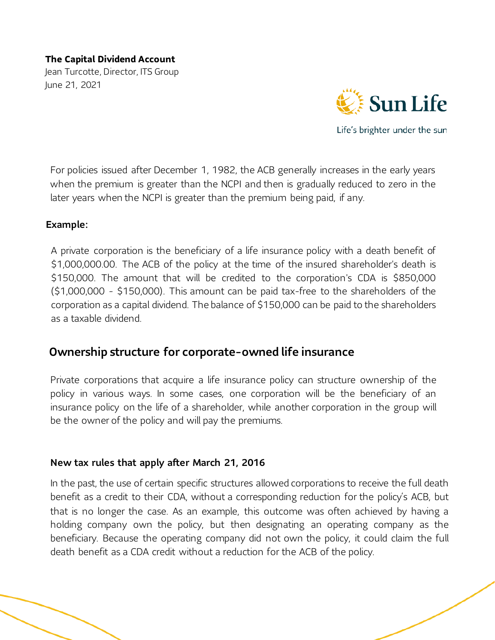Jean Turcotte, Director, ITS Group June 21, 2021



Life's brighter under the sun

For policies issued after December 1, 1982, the ACB generally increases in the early years when the premium is greater than the NCPI and then is gradually reduced to zero in the later years when the NCPI is greater than the premium being paid, if any.

#### Example:

A private corporation is the beneficiary of a life insurance policy with a death benefit of \$1,000,000.00. The ACB of the policy at the time of the insured shareholder's death is \$150,000. The amount that will be credited to the corporation's CDA is \$850,000 (\$1,000,000 - \$150,000). This amount can be paid tax-free to the shareholders of the corporation as a capital dividend. The balance of \$150,000 can be paid to the shareholders as a taxable dividend.

# Ownership structure for corporate-owned life insurance

Private corporations that acquire a life insurance policy can structure ownership of the policy in various ways. In some cases, one corporation will be the beneficiary of an insurance policy on the life of a shareholder, while another corporation in the group will be the owner of the policy and will pay the premiums.

#### New tax rules that apply after March 21, 2016

In the past, the use of certain specific structures allowed corporations to receive the full death benefit as a credit to their CDA, without a corresponding reduction for the policy's ACB, but that is no longer the case. As an example, this outcome was often achieved by having a holding company own the policy, but then designating an operating company as the beneficiary. Because the operating company did not own the policy, it could claim the full death benefit as a CDA credit without a reduction for the ACB of the policy.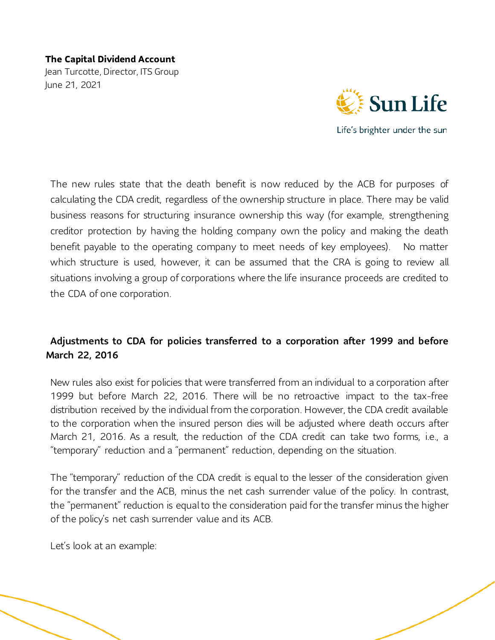Jean Turcotte, Director, ITS Group June 21, 2021



Life's brighter under the sun

The new rules state that the death benefit is now reduced by the ACB for purposes of calculating the CDA credit, regardless of the ownership structure in place. There may be valid business reasons for structuring insurance ownership this way (for example, strengthening creditor protection by having the holding company own the policy and making the death benefit payable to the operating company to meet needs of key employees). No matter which structure is used, however, it can be assumed that the CRA is going to review all situations involving a group of corporations where the life insurance proceeds are credited to the CDA of one corporation.

# Adjustments to CDA for policies transferred to a corporation after 1999 and before March 22, 2016

New rules also exist for policies that were transferred from an individual to a corporation after 1999 but before March 22, 2016. There will be no retroactive impact to the tax-free distribution received by the individual from the corporation. However, the CDA credit available to the corporation when the insured person dies will be adjusted where death occurs after March 21, 2016. As a result, the reduction of the CDA credit can take two forms, i.e., a "temporary" reduction and a "permanent" reduction, depending on the situation.

The "temporary" reduction of the CDA credit is equal to the lesser of the consideration given for the transfer and the ACB, minus the net cash surrender value of the policy. In contrast, the "permanent" reduction is equal to the consideration paid for the transfer minus the higher of the policy's net cash surrender value and its ACB.

Let's look at an example: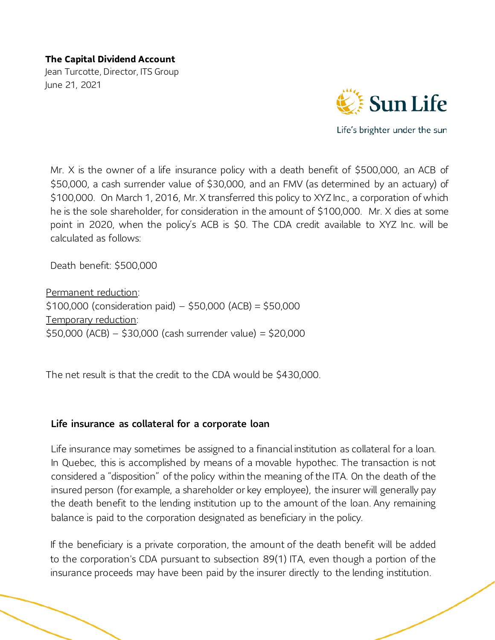Jean Turcotte, Director, ITS Group June 21, 2021



Mr. X is the owner of a life insurance policy with a death benefit of \$500,000, an ACB of \$50,000, a cash surrender value of \$30,000, and an FMV (as determined by an actuary) of \$100,000. On March 1, 2016, Mr. X transferred this policy to XYZ Inc., a corporation of which he is the sole shareholder, for consideration in the amount of \$100,000. Mr. X dies at some point in 2020, when the policy's ACB is \$0. The CDA credit available to XYZ Inc. will be calculated as follows:

Death benefit: \$500,000

Permanent reduction:  $$100,000$  (consideration paid) –  $$50,000$  (ACB) =  $$50,000$ Temporary reduction: \$50,000 (ACB) – \$30,000 (cash surrender value) = \$20,000

The net result is that the credit to the CDA would be \$430,000.

#### Life insurance as collateral for a corporate loan

Life insurance may sometimes be assigned to a financial institution as collateral for a loan. In Quebec, this is accomplished by means of a movable hypothec. The transaction is not considered a "disposition" of the policy within the meaning of the ITA. On the death of the insured person (for example, a shareholder or key employee), the insurer will generally pay the death benefit to the lending institution up to the amount of the loan. Any remaining balance is paid to the corporation designated as beneficiary in the policy.

If the beneficiary is a private corporation, the amount of the death benefit will be added to the corporation's CDA pursuant to subsection 89(1) ITA, even though a portion of the insurance proceeds may have been paid by the insurer directly to the lending institution.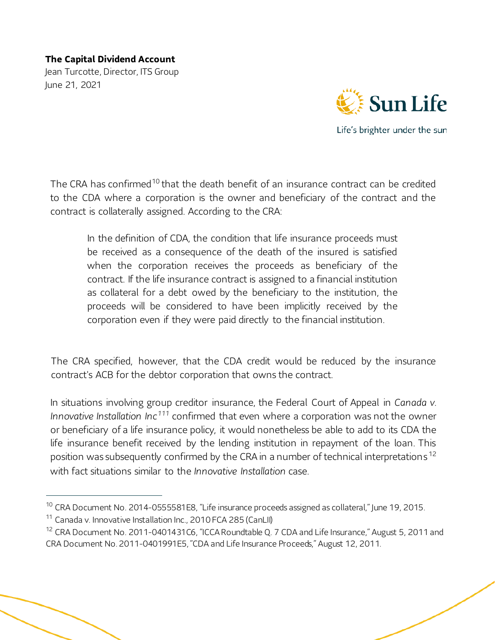Jean Turcotte, Director, ITS Group June 21, 2021



Life's brighter under the sun

The CRA has confirmed<sup>[10](#page-15-0)</sup> that the death benefit of an insurance contract can be credited to the CDA where a corporation is the owner and beneficiary of the contract and the contract is collaterally assigned. According to the CRA:

In the definition of CDA, the condition that life insurance proceeds must be received as a consequence of the death of the insured is satisfied when the corporation receives the proceeds as beneficiary of the contract. If the life insurance contract is assigned to a financial institution as collateral for a debt owed by the beneficiary to the institution, the proceeds will be considered to have been implicitly received by the corporation even if they were paid directly to the financial institution.

The CRA specified, however, that the CDA credit would be reduced by the insurance contract's ACB for the debtor corporation that owns the contract.

In situations involving group creditor insurance, the Federal Court of Appeal in *Canada v. Innovative Installation Inc[111](#page-15-1)* confirmed that even where a corporation was not the owner or beneficiary of a life insurance policy, it would nonetheless be able to add to its CDA the life insurance benefit received by the lending institution in repayment of the loan. This position was subsequently confirmed by the CRA in a number of technical interpretations [12](#page-15-2) with fact situations similar to the *Innovative Installation* case.

<span id="page-15-0"></span> <sup>10</sup> CRA Document No. 2014-0555581E8, "Life insurance proceeds assigned as collateral," June 19, 2015.

<span id="page-15-1"></span><sup>&</sup>lt;sup>11</sup> Canada v. Innovative Installation Inc., 2010 FCA 285 (CanLII)

<span id="page-15-2"></span><sup>&</sup>lt;sup>12</sup> CRA Document No. 2011-0401431C6, "ICCA Roundtable Q. 7 CDA and Life Insurance," August 5, 2011 and CRA Document No. 2011-0401991E5, "CDA and Life Insurance Proceeds," August 12, 2011.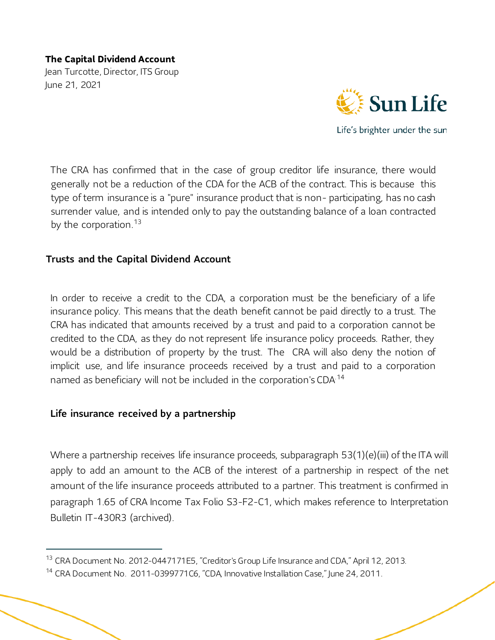Jean Turcotte, Director, ITS Group June 21, 2021



Life's brighter under the sun

The CRA has confirmed that in the case of group creditor life insurance, there would generally not be a reduction of the CDA for the ACB of the contract. This is because this type of term insurance is a "pure" insurance product that is non- participating, has no cash surrender value, and is intended only to pay the outstanding balance of a loan contracted by the corporation.<sup>[13](#page-16-0)</sup>

#### Trusts and the Capital Dividend Account

In order to receive a credit to the CDA, a corporation must be the beneficiary of a life insurance policy. This means that the death benefit cannot be paid directly to a trust. The CRA has indicated that amounts received by a trust and paid to a corporation cannot be credited to the CDA, as they do not represent life insurance policy proceeds. Rather, they would be a distribution of property by the trust. The CRA will also deny the notion of implicit use, and life insurance proceeds received by a trust and paid to a corporation named as beneficiary will not be included in the corporation's CDA<sup>-[14](#page-16-1)</sup>

#### Life insurance received by a partnership

Where a partnership receives life insurance proceeds, subparagraph 53(1)(e)(iii) of the ITA will apply to add an amount to the ACB of the interest of a partnership in respect of the net amount of the life insurance proceeds attributed to a partner. This treatment is confirmed in paragraph 1.65 of CRA Income Tax Folio S3-F2-C1, which makes reference to Interpretation Bulletin IT-430R3 (archived).

<span id="page-16-0"></span><sup>&</sup>lt;sup>13</sup> CRA Document No. 2012-0447171E5, "Creditor's Group Life Insurance and CDA," April 12, 2013.

<span id="page-16-1"></span><sup>&</sup>lt;sup>14</sup> CRA Document No. 2011-0399771C6, "CDA, Innovative Installation Case," June 24, 2011.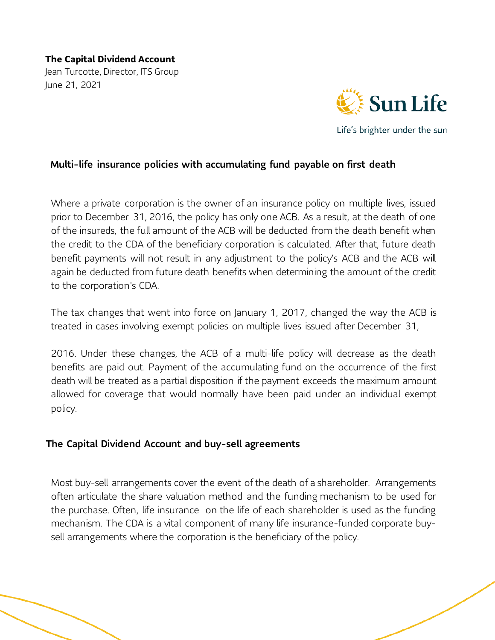Jean Turcotte, Director, ITS Group June 21, 2021



Life's brighter under the sun

# Multi-life insurance policies with accumulating fund payable on first death

Where a private corporation is the owner of an insurance policy on multiple lives, issued prior to December 31, 2016, the policy has only one ACB. As a result, at the death of one of the insureds, the full amount of the ACB will be deducted from the death benefit when the credit to the CDA of the beneficiary corporation is calculated. After that, future death benefit payments will not result in any adjustment to the policy's ACB and the ACB will again be deducted from future death benefits when determining the amount of the credit to the corporation's CDA.

The tax changes that went into force on January 1, 2017, changed the way the ACB is treated in cases involving exempt policies on multiple lives issued after December 31,

2016. Under these changes, the ACB of a multi-life policy will decrease as the death benefits are paid out. Payment of the accumulating fund on the occurrence of the first death will be treated as a partial disposition if the payment exceeds the maximum amount allowed for coverage that would normally have been paid under an individual exempt policy.

# The Capital Dividend Account and buy-sell agreements

Most buy-sell arrangements cover the event of the death of a shareholder. Arrangements often articulate the share valuation method and the funding mechanism to be used for the purchase. Often, life insurance on the life of each shareholder is used as the funding mechanism. The CDA is a vital component of many life insurance-funded corporate buysell arrangements where the corporation is the beneficiary of the policy.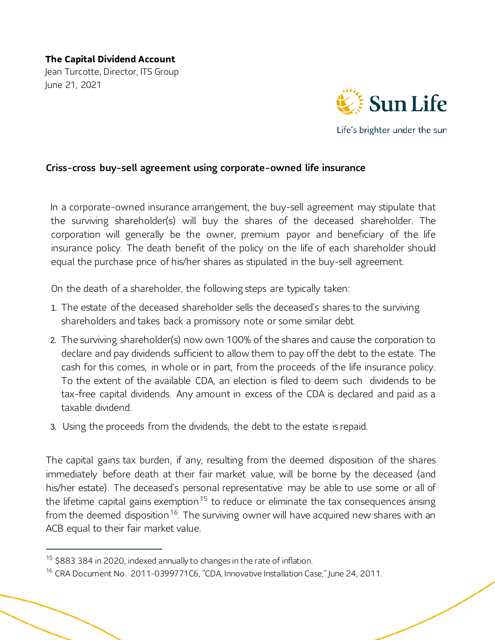Jean Turcotte, Director, ITS Group June 21, 2021



Life's brighter under the sun

# Criss-cross buy-sell agreement using corporate-owned life insurance

In a corporate-owned insurance arrangement, the buy-sell agreement may stipulate that the surviving shareholder(s) will buy the shares of the deceased shareholder. The corporation will generally be the owner, premium payor and beneficiary of the life insurance policy. The death benefit of the policy on the life of each shareholder should equal the purchase price of his/her shares as stipulated in the buy-sell agreement.

On the death of a shareholder, the following steps are typically taken:

- 1. The estate of the deceased shareholder sells the deceased's shares to the surviving shareholders and takes back a promissory note or some similar debt.
- 2. The surviving shareholder(s) now own 100% of the shares and cause the corporation to declare and pay dividends sufficient to allow them to pay off the debt to the estate. The cash for this comes, in whole or in part, from the proceeds of the life insurance policy. To the extent of the available CDA, an election is filed to deem such dividends to be tax-free capital dividends. Any amount in excess of the CDA is declared and paid as a taxable dividend.
- 3. Using the proceeds from the dividends, the debt to the estate is repaid.

The capital gains tax burden, if any, resulting from the deemed disposition of the shares immediately before death at their fair market value, will be borne by the deceased (and his/her estate). The deceased's personal representative may be able to use some or all of the lifetime capital gains exemption<sup>[15](#page-18-0)</sup> to reduce or eliminate the tax consequences arising from the deemed disposition<sup>[16](#page-18-1)</sup>. The surviving owner will have acquired new shares with an ACB equal to their fair market value.

<span id="page-18-0"></span> $15$  \$883 384 in 2020, indexed annually to changes in the rate of inflation.

<span id="page-18-1"></span><sup>&</sup>lt;sup>16</sup> CRA Document No. 2011-0399771C6, "CDA, Innovative Installation Case," June 24, 2011.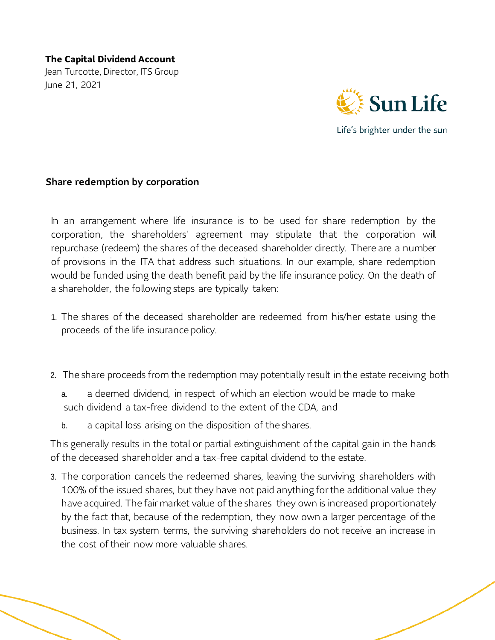Jean Turcotte, Director, ITS Group June 21, 2021



Share redemption by corporation

In an arrangement where life insurance is to be used for share redemption by the corporation, the shareholders' agreement may stipulate that the corporation will repurchase (redeem) the shares of the deceased shareholder directly. There are a number of provisions in the ITA that address such situations. In our example, share redemption would be funded using the death benefit paid by the life insurance policy. On the death of a shareholder, the following steps are typically taken:

- 1. The shares of the deceased shareholder are redeemed from his/her estate using the proceeds of the life insurance policy.
- 2. The share proceeds from the redemption may potentially result in the estate receiving both
	- a. a deemed dividend, in respect of which an election would be made to make such dividend a tax-free dividend to the extent of the CDA, and
	- b. a capital loss arising on the disposition of the shares.

This generally results in the total or partial extinguishment of the capital gain in the hands of the deceased shareholder and a tax-free capital dividend to the estate.

3. The corporation cancels the redeemed shares, leaving the surviving shareholders with 100% of the issued shares, but they have not paid anything for the additional value they have acquired. The fair market value of the shares they own is increased proportionately by the fact that, because of the redemption, they now own a larger percentage of the business. In tax system terms, the surviving shareholders do not receive an increase in the cost of their now more valuable shares.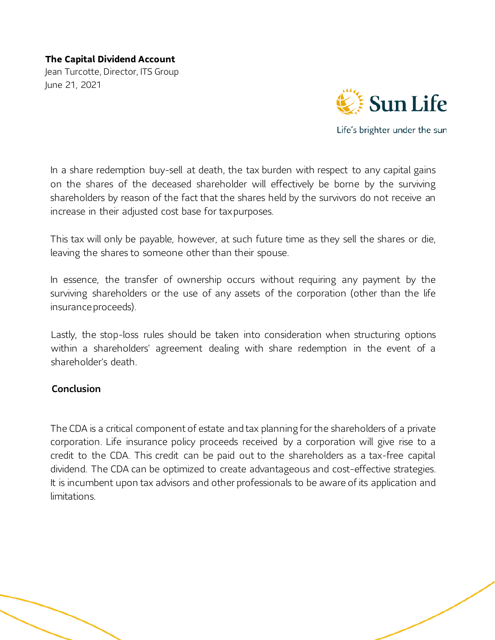Jean Turcotte, Director, ITS Group June 21, 2021



Life's brighter under the sun

In a share redemption buy-sell at death, the tax burden with respect to any capital gains on the shares of the deceased shareholder will effectively be borne by the surviving shareholders by reason of the fact that the shares held by the survivors do not receive an increase in their adjusted cost base for tax purposes.

This tax will only be payable, however, at such future time as they sell the shares or die, leaving the shares to someone other than their spouse.

In essence, the transfer of ownership occurs without requiring any payment by the surviving shareholders or the use of any assets of the corporation (other than the life insurance proceeds).

Lastly, the stop-loss rules should be taken into consideration when structuring options within a shareholders' agreement dealing with share redemption in the event of a shareholder's death.

#### Conclusion

The CDA is a critical component of estate and tax planning for the shareholders of a private corporation. Life insurance policy proceeds received by a corporation will give rise to a credit to the CDA. This credit can be paid out to the shareholders as a tax-free capital dividend. The CDA can be optimized to create advantageous and cost-effective strategies. It is incumbent upon tax advisors and other professionals to be aware of its application and limitations.